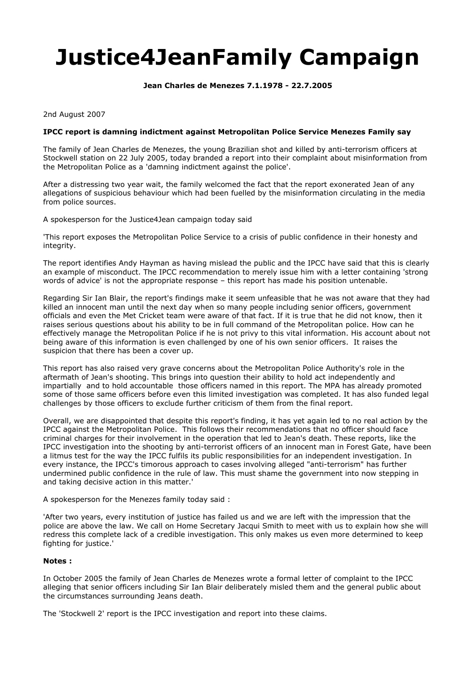## **Justice4JeanFamily Campaign**

**Jean Charles de Menezes 7.1.1978 - 22.7.2005** 

2nd August 2007

## **IPCC report is damning indictment against Metropolitan Police Service Menezes Family say**

The family of Jean Charles de Menezes, the young Brazilian shot and killed by anti-terrorism officers at Stockwell station on 22 July 2005, today branded a report into their complaint about misinformation from the Metropolitan Police as a 'damning indictment against the police'.

After a distressing two year wait, the family welcomed the fact that the report exonerated Jean of any allegations of suspicious behaviour which had been fuelled by the misinformation circulating in the media from police sources.

A spokesperson for the Justice4Jean campaign today said

'This report exposes the Metropolitan Police Service to a crisis of public confidence in their honesty and integrity.

The report identifies Andy Hayman as having mislead the public and the IPCC have said that this is clearly an example of misconduct. The IPCC recommendation to merely issue him with a letter containing 'strong words of advice' is not the appropriate response – this report has made his position untenable.

Regarding Sir Ian Blair, the report's findings make it seem unfeasible that he was not aware that they had killed an innocent man until the next day when so many people including senior officers, government officials and even the Met Cricket team were aware of that fact. If it is true that he did not know, then it raises serious questions about his ability to be in full command of the Metropolitan police. How can he effectively manage the Metropolitan Police if he is not privy to this vital information. His account about not being aware of this information is even challenged by one of his own senior officers. It raises the suspicion that there has been a cover up.

This report has also raised very grave concerns about the Metropolitan Police Authority's role in the aftermath of Jean's shooting. This brings into question their ability to hold act independently and impartially and to hold accountable those officers named in this report. The MPA has already promoted some of those same officers before even this limited investigation was completed. It has also funded legal challenges by those officers to exclude further criticism of them from the final report.

Overall, we are disappointed that despite this report's finding, it has yet again led to no real action by the IPCC against the Metropolitan Police. This follows their recommendations that no officer should face criminal charges for their involvement in the operation that led to Jean's death. These reports, like the IPCC investigation into the shooting by anti-terrorist officers of an innocent man in Forest Gate, have been a litmus test for the way the IPCC fulfils its public responsibilities for an independent investigation. In every instance, the IPCC's timorous approach to cases involving alleged "anti-terrorism" has further undermined public confidence in the rule of law. This must shame the government into now stepping in and taking decisive action in this matter.'

A spokesperson for the Menezes family today said :

'After two years, every institution of justice has failed us and we are left with the impression that the police are above the law. We call on Home Secretary Jacqui Smith to meet with us to explain how she will redress this complete lack of a credible investigation. This only makes us even more determined to keep fighting for justice.'

## **Notes :**

In October 2005 the family of Jean Charles de Menezes wrote a formal letter of complaint to the IPCC alleging that senior officers including Sir Ian Blair deliberately misled them and the general public about the circumstances surrounding Jeans death.

The 'Stockwell 2' report is the IPCC investigation and report into these claims.